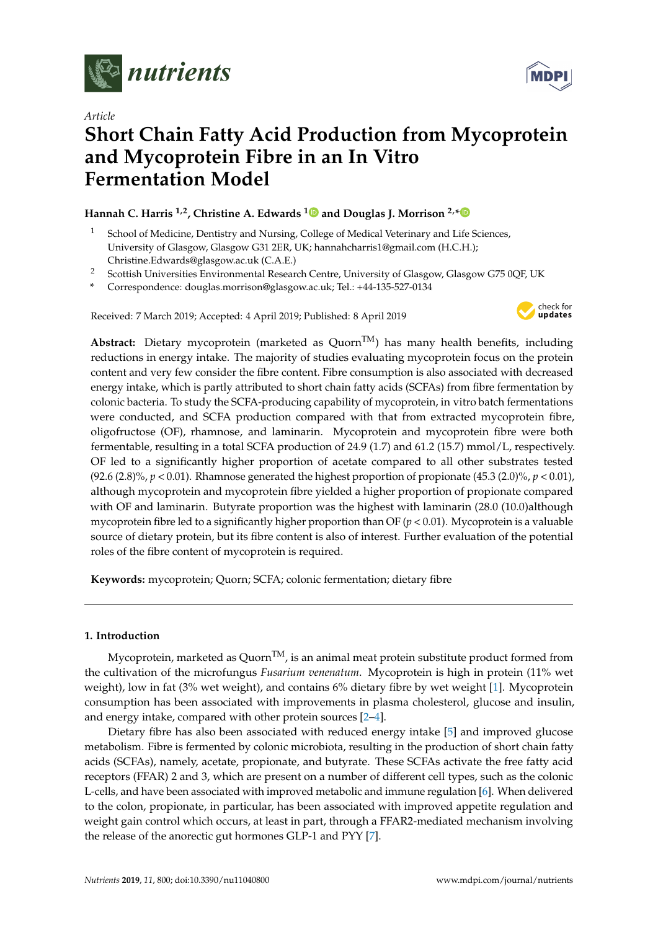

*Article*

# **Short Chain Fatty Acid Production from Mycoprotein and Mycoprotein Fibre in an In Vitro Fermentation Model**

## **Hannah C. Harris 1,2, Christine A. Edwards [1](https://orcid.org/0000-0003-0406-918X) and Douglas J. Morrison 2,[\\*](https://orcid.org/0000-0002-4161-5699)**

- <sup>1</sup> School of Medicine, Dentistry and Nursing, College of Medical Veterinary and Life Sciences, University of Glasgow, Glasgow G31 2ER, UK; hannahcharris1@gmail.com (H.C.H.); Christine.Edwards@glasgow.ac.uk (C.A.E.)
- <sup>2</sup> Scottish Universities Environmental Research Centre, University of Glasgow, Glasgow G75 0QF, UK
- **\*** Correspondence: douglas.morrison@glasgow.ac.uk; Tel.: +44-135-527-0134

Received: 7 March 2019; Accepted: 4 April 2019; Published: 8 April 2019



Abstract: Dietary mycoprotein (marketed as Quorn<sup>TM</sup>) has many health benefits, including reductions in energy intake. The majority of studies evaluating mycoprotein focus on the protein content and very few consider the fibre content. Fibre consumption is also associated with decreased energy intake, which is partly attributed to short chain fatty acids (SCFAs) from fibre fermentation by colonic bacteria. To study the SCFA-producing capability of mycoprotein, in vitro batch fermentations were conducted, and SCFA production compared with that from extracted mycoprotein fibre, oligofructose (OF), rhamnose, and laminarin. Mycoprotein and mycoprotein fibre were both fermentable, resulting in a total SCFA production of 24.9 (1.7) and 61.2 (15.7) mmol/L, respectively. OF led to a significantly higher proportion of acetate compared to all other substrates tested (92.6 (2.8)%,  $p < 0.01$ ). Rhamnose generated the highest proportion of propionate (45.3 (2.0)%,  $p < 0.01$ ), although mycoprotein and mycoprotein fibre yielded a higher proportion of propionate compared with OF and laminarin. Butyrate proportion was the highest with laminarin (28.0 (10.0)although mycoprotein fibre led to a significantly higher proportion than OF (*p* < 0.01). Mycoprotein is a valuable source of dietary protein, but its fibre content is also of interest. Further evaluation of the potential roles of the fibre content of mycoprotein is required.

**Keywords:** mycoprotein; Quorn; SCFA; colonic fermentation; dietary fibre

## **1. Introduction**

Mycoprotein, marketed as Quorn<sup>TM</sup>, is an animal meat protein substitute product formed from the cultivation of the microfungus *Fusarium venenatum*. Mycoprotein is high in protein (11% wet weight), low in fat (3% wet weight), and contains 6% dietary fibre by wet weight [\[1\]](#page-5-0). Mycoprotein consumption has been associated with improvements in plasma cholesterol, glucose and insulin, and energy intake, compared with other protein sources [\[2–](#page-5-1)[4\]](#page-5-2).

Dietary fibre has also been associated with reduced energy intake [\[5\]](#page-5-3) and improved glucose metabolism. Fibre is fermented by colonic microbiota, resulting in the production of short chain fatty acids (SCFAs), namely, acetate, propionate, and butyrate. These SCFAs activate the free fatty acid receptors (FFAR) 2 and 3, which are present on a number of different cell types, such as the colonic L-cells, and have been associated with improved metabolic and immune regulation [\[6\]](#page-5-4). When delivered to the colon, propionate, in particular, has been associated with improved appetite regulation and weight gain control which occurs, at least in part, through a FFAR2-mediated mechanism involving the release of the anorectic gut hormones GLP-1 and PYY [\[7\]](#page-5-5).

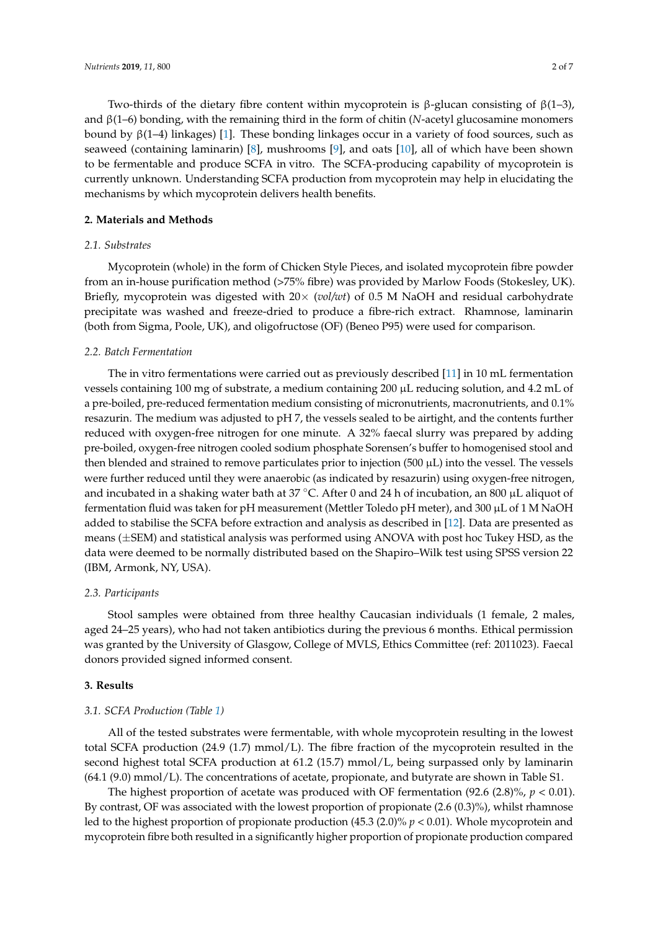Two-thirds of the dietary fibre content within mycoprotein is β-glucan consisting of β(1–3), and β(1–6) bonding, with the remaining third in the form of chitin (*N*-acetyl glucosamine monomers bound by  $β(1-4)$  linkages) [\[1\]](#page-5-0). These bonding linkages occur in a variety of food sources, such as seaweed (containing laminarin) [\[8\]](#page-5-6), mushrooms [\[9\]](#page-5-7), and oats [\[10\]](#page-5-8), all of which have been shown to be fermentable and produce SCFA in vitro. The SCFA-producing capability of mycoprotein is currently unknown. Understanding SCFA production from mycoprotein may help in elucidating the mechanisms by which mycoprotein delivers health benefits.

## **2. Materials and Methods**

## *2.1. Substrates*

Mycoprotein (whole) in the form of Chicken Style Pieces, and isolated mycoprotein fibre powder from an in-house purification method (>75% fibre) was provided by Marlow Foods (Stokesley, UK). Briefly, mycoprotein was digested with 20× (*vol/wt*) of 0.5 M NaOH and residual carbohydrate precipitate was washed and freeze-dried to produce a fibre-rich extract. Rhamnose, laminarin (both from Sigma, Poole, UK), and oligofructose (OF) (Beneo P95) were used for comparison.

## *2.2. Batch Fermentation*

The in vitro fermentations were carried out as previously described [\[11\]](#page-5-9) in 10 mL fermentation vessels containing 100 mg of substrate, a medium containing 200 µL reducing solution, and 4.2 mL of a pre-boiled, pre-reduced fermentation medium consisting of micronutrients, macronutrients, and 0.1% resazurin. The medium was adjusted to pH 7, the vessels sealed to be airtight, and the contents further reduced with oxygen-free nitrogen for one minute. A 32% faecal slurry was prepared by adding pre-boiled, oxygen-free nitrogen cooled sodium phosphate Sorensen's buffer to homogenised stool and then blended and strained to remove particulates prior to injection  $(500 \mu L)$  into the vessel. The vessels were further reduced until they were anaerobic (as indicated by resazurin) using oxygen-free nitrogen, and incubated in a shaking water bath at 37 °C. After 0 and 24 h of incubation, an 800 µL aliquot of fermentation fluid was taken for pH measurement (Mettler Toledo pH meter), and 300 µL of 1 M NaOH added to stabilise the SCFA before extraction and analysis as described in [\[12\]](#page-5-10). Data are presented as means (±SEM) and statistical analysis was performed using ANOVA with post hoc Tukey HSD, as the data were deemed to be normally distributed based on the Shapiro–Wilk test using SPSS version 22 (IBM, Armonk, NY, USA).

## *2.3. Participants*

Stool samples were obtained from three healthy Caucasian individuals (1 female, 2 males, aged 24–25 years), who had not taken antibiotics during the previous 6 months. Ethical permission was granted by the University of Glasgow, College of MVLS, Ethics Committee (ref: 2011023). Faecal donors provided signed informed consent.

## **3. Results**

## *3.1. SCFA Production (Table [1\)](#page-2-0)*

All of the tested substrates were fermentable, with whole mycoprotein resulting in the lowest total SCFA production (24.9 (1.7) mmol/L). The fibre fraction of the mycoprotein resulted in the second highest total SCFA production at 61.2 (15.7) mmol/L, being surpassed only by laminarin (64.1 (9.0) mmol/L). The concentrations of acetate, propionate, and butyrate are shown in Table S1.

The highest proportion of acetate was produced with OF fermentation  $(92.6 \ (2.8)\%)$ ,  $p < 0.01$ ). By contrast, OF was associated with the lowest proportion of propionate (2.6 (0.3)%), whilst rhamnose led to the highest proportion of propionate production (45.3 (2.0)% *p* < 0.01). Whole mycoprotein and mycoprotein fibre both resulted in a significantly higher proportion of propionate production compared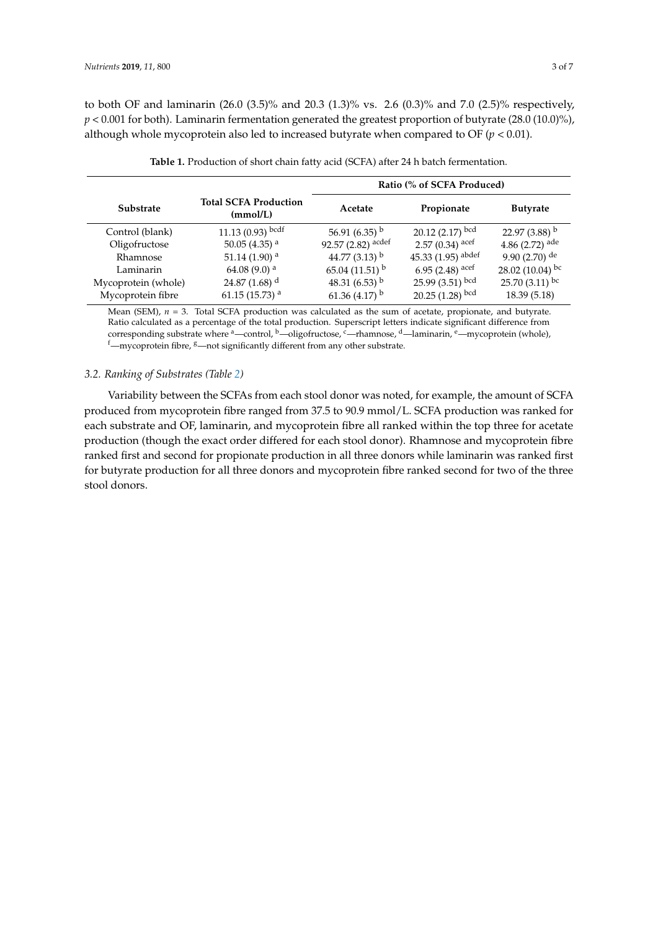to both OF and laminarin (26.0 (3.5)% and 20.3 (1.3)% vs. 2.6 (0.3)% and 7.0 (2.5)% respectively,  $p < 0.001$  for both). Laminarin fermentation generated the greatest proportion of butyrate (28.0 (10.0)%), although whole mycoprotein also led to increased butyrate when compared to OF  $(p < 0.01)$ .

<span id="page-2-0"></span>

|                     |                                          | Ratio (% of SCFA Produced) |                              |                              |  |  |
|---------------------|------------------------------------------|----------------------------|------------------------------|------------------------------|--|--|
| <b>Substrate</b>    | <b>Total SCFA Production</b><br>(mmol/L) | Acetate                    | Propionate                   | <b>Butyrate</b>              |  |  |
| Control (blank)     | 11.13 $(0.93)$ bcdf                      | 56.91 (6.35) $^{\rm b}$    | $20.12(2.17)$ <sup>bcd</sup> | 22.97 (3.88) $^{\rm b}$      |  |  |
| Oligofructose       | 50.05 (4.35) $^{\rm a}$                  | 92.57 (2.82) acdef         | 2.57 (0.34) acef             | 4.86 $(2.72)$ <sup>ade</sup> |  |  |
| Rhamnose            | 51.14 (1.90) $^{\rm a}$                  | 44.77 (3.13) $^{\rm b}$    | 45.33 $(1.95)$ abdef         | 9.90 (2.70) de               |  |  |
| Laminarin           | 64.08 (9.0) <sup>a</sup>                 | 65.04 (11.51) $^{\rm b}$   | 6.95 $(2.48)$ acef           | 28.02 (10.04) bc             |  |  |
| Mycoprotein (whole) | 24.87 $(1.68)$ <sup>d</sup>              | 48.31 (6.53) $^{\rm b}$    | 25.99 $(3.51)$ bcd           | 25.70 $(3.11)$ bc            |  |  |
| Mycoprotein fibre   | 61.15 (15.73) $a$                        | 61.36 (4.17) $^{\rm b}$    | $20.25(1.28)$ <sup>bcd</sup> | 18.39 (5.18)                 |  |  |

Mean (SEM),  $n = 3$ . Total SCFA production was calculated as the sum of acetate, propionate, and butyrate. Ratio calculated as a percentage of the total production. Superscript letters indicate significant difference from corresponding substrate where  $a^a$ —control,  $b^b$ —oligofructose,  $c^c$ —rhamnose,  $d^d$ —laminarin,  $c^e$ —mycoprotein (whole),  $f$ —mycoprotein fibre,  $g$ —not significantly different from any other substrate.

#### *3.2. Ranking of Substrates (Table [2\)](#page-3-0)*

Variability between the SCFAs from each stool donor was noted, for example, the amount of SCFA produced from mycoprotein fibre ranged from 37.5 to 90.9 mmol/L. SCFA production was ranked for each substrate and OF, laminarin, and mycoprotein fibre all ranked within the top three for acetate production (though the exact order differed for each stool donor). Rhamnose and mycoprotein fibre ranked first and second for propionate production in all three donors while laminarin was ranked first for butyrate production for all three donors and mycoprotein fibre ranked second for two of the three stool donors.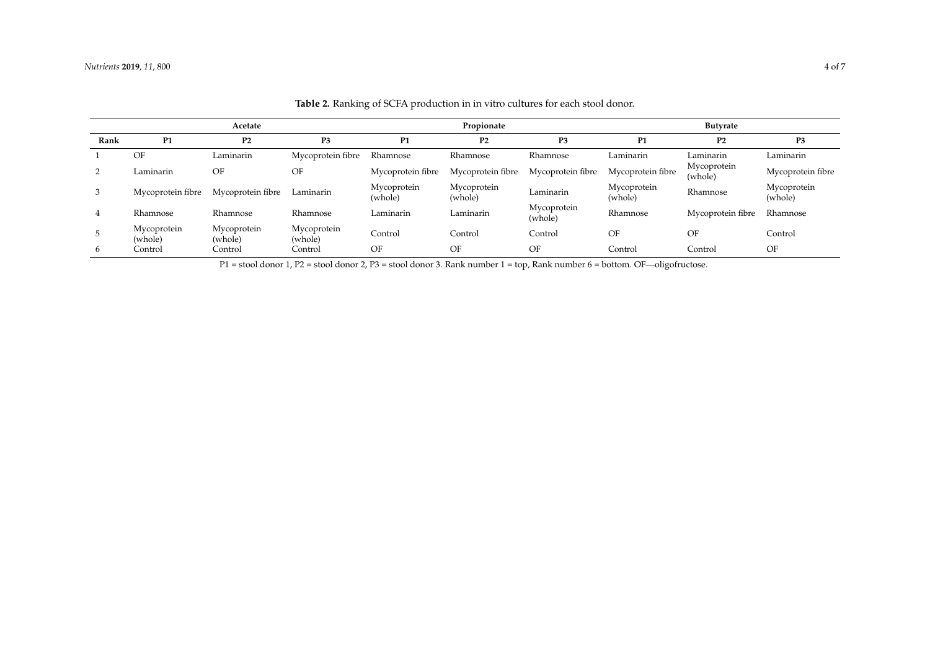|      | Acetate                |                        |                        | Propionate             |                        |                        | <b>Butyrate</b>        |                        |                        |
|------|------------------------|------------------------|------------------------|------------------------|------------------------|------------------------|------------------------|------------------------|------------------------|
| Rank | P <sub>1</sub>         | P <sub>2</sub>         | P <sub>3</sub>         | P <sub>1</sub>         | P <sub>2</sub>         | P3                     | P1                     | P <sub>2</sub>         | P3                     |
|      | OF                     | Laminarin              | Mycoprotein fibre      | Rhamnose               | Rhamnose               | Rhamnose               | Laminarin              | Laminarin              | Laminarin              |
|      | Laminarin              | OF                     | OF                     | Mycoprotein fibre      | Mycoprotein fibre      | Mycoprotein fibre      | Mycoprotein fibre      | Mycoprotein<br>(whole) | Mycoprotein fibre      |
| 3    | Mycoprotein fibre      | Mycoprotein fibre      | Laminarin              | Mycoprotein<br>(whole) | Mycoprotein<br>(whole) | Laminarin              | Mycoprotein<br>(whole) | Rhamnose               | Mycoprotein<br>(whole) |
|      | Rhamnose               | Rhamnose               | Rhamnose               | Laminarin              | Laminarin              | Mycoprotein<br>(whole) | Rhamnose               | Mycoprotein fibre      | Rhamnose               |
|      | Mycoprotein<br>(whole) | Mycoprotein<br>(whole) | Mycoprotein<br>(whole) | Control                | Control                | Control                | OF                     | OF                     | Control                |
| 6    | Control                | Control                | Control                | OF                     | OF                     | OF                     | Control                | Control                | OF                     |

**Table 2.** Ranking of SCFA production in in vitro cultures for each stool donor.

<span id="page-3-0"></span>P1 = stool donor 1, P2 = stool donor 2, P3 = stool donor 3. Rank number 1 = top, Rank number 6 = bottom. OF—oligofructose.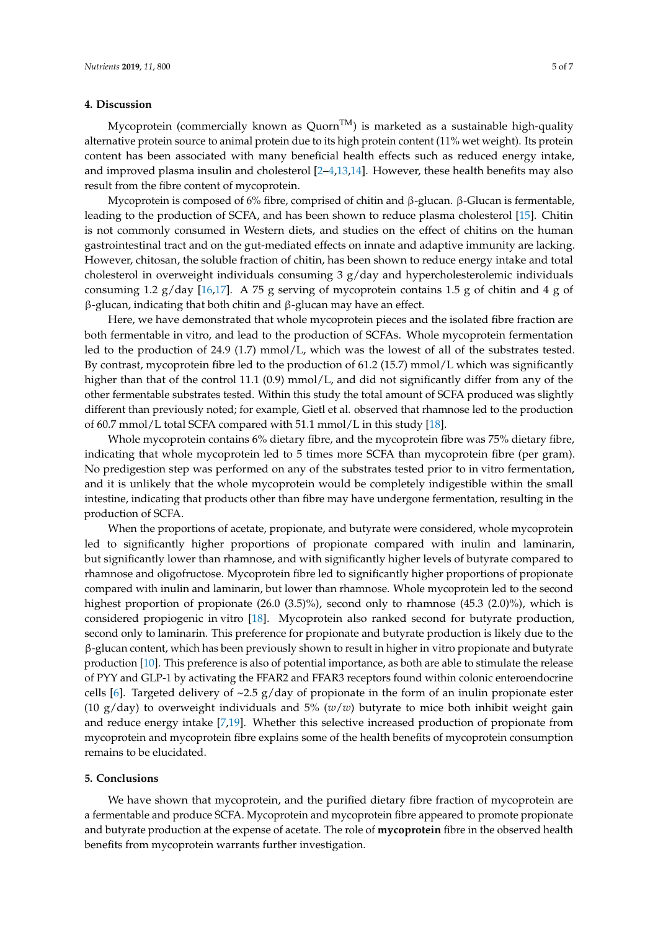#### **4. Discussion**

Mycoprotein (commercially known as  $Quorn<sup>TM</sup>$ ) is marketed as a sustainable high-quality alternative protein source to animal protein due to its high protein content (11% wet weight). Its protein content has been associated with many beneficial health effects such as reduced energy intake, and improved plasma insulin and cholesterol [\[2](#page-5-1)[–4](#page-5-2)[,13](#page-5-11)[,14\]](#page-5-12). However, these health benefits may also result from the fibre content of mycoprotein.

Mycoprotein is composed of 6% fibre, comprised of chitin and β-glucan. β-Glucan is fermentable, leading to the production of SCFA, and has been shown to reduce plasma cholesterol [\[15\]](#page-5-13). Chitin is not commonly consumed in Western diets, and studies on the effect of chitins on the human gastrointestinal tract and on the gut-mediated effects on innate and adaptive immunity are lacking. However, chitosan, the soluble fraction of chitin, has been shown to reduce energy intake and total cholesterol in overweight individuals consuming  $3 g/day$  and hypercholesterolemic individuals consuming 1.2 g/day [\[16,](#page-6-0)[17\]](#page-6-1). A 75 g serving of mycoprotein contains 1.5 g of chitin and 4 g of β-glucan, indicating that both chitin and β-glucan may have an effect.

Here, we have demonstrated that whole mycoprotein pieces and the isolated fibre fraction are both fermentable in vitro, and lead to the production of SCFAs. Whole mycoprotein fermentation led to the production of 24.9 (1.7) mmol/L, which was the lowest of all of the substrates tested. By contrast, mycoprotein fibre led to the production of 61.2 (15.7) mmol/L which was significantly higher than that of the control 11.1 (0.9) mmol/L, and did not significantly differ from any of the other fermentable substrates tested. Within this study the total amount of SCFA produced was slightly different than previously noted; for example, Gietl et al. observed that rhamnose led to the production of 60.7 mmol/L total SCFA compared with 51.1 mmol/L in this study [\[18\]](#page-6-2).

Whole mycoprotein contains 6% dietary fibre, and the mycoprotein fibre was 75% dietary fibre, indicating that whole mycoprotein led to 5 times more SCFA than mycoprotein fibre (per gram). No predigestion step was performed on any of the substrates tested prior to in vitro fermentation, and it is unlikely that the whole mycoprotein would be completely indigestible within the small intestine, indicating that products other than fibre may have undergone fermentation, resulting in the production of SCFA.

When the proportions of acetate, propionate, and butyrate were considered, whole mycoprotein led to significantly higher proportions of propionate compared with inulin and laminarin, but significantly lower than rhamnose, and with significantly higher levels of butyrate compared to rhamnose and oligofructose. Mycoprotein fibre led to significantly higher proportions of propionate compared with inulin and laminarin, but lower than rhamnose. Whole mycoprotein led to the second highest proportion of propionate (26.0 (3.5)%), second only to rhamnose (45.3 (2.0)%), which is considered propiogenic in vitro [\[18\]](#page-6-2). Mycoprotein also ranked second for butyrate production, second only to laminarin. This preference for propionate and butyrate production is likely due to the β-glucan content, which has been previously shown to result in higher in vitro propionate and butyrate production [\[10\]](#page-5-8). This preference is also of potential importance, as both are able to stimulate the release of PYY and GLP-1 by activating the FFAR2 and FFAR3 receptors found within colonic enteroendocrine cells [\[6\]](#page-5-4). Targeted delivery of  $\sim$ 2.5 g/day of propionate in the form of an inulin propionate ester (10  $g$ /day) to overweight individuals and 5% ( $w/w$ ) butyrate to mice both inhibit weight gain and reduce energy intake [\[7,](#page-5-5)[19\]](#page-6-3). Whether this selective increased production of propionate from mycoprotein and mycoprotein fibre explains some of the health benefits of mycoprotein consumption remains to be elucidated.

#### **5. Conclusions**

We have shown that mycoprotein, and the purified dietary fibre fraction of mycoprotein are a fermentable and produce SCFA. Mycoprotein and mycoprotein fibre appeared to promote propionate and butyrate production at the expense of acetate. The role of **mycoprotein** fibre in the observed health benefits from mycoprotein warrants further investigation.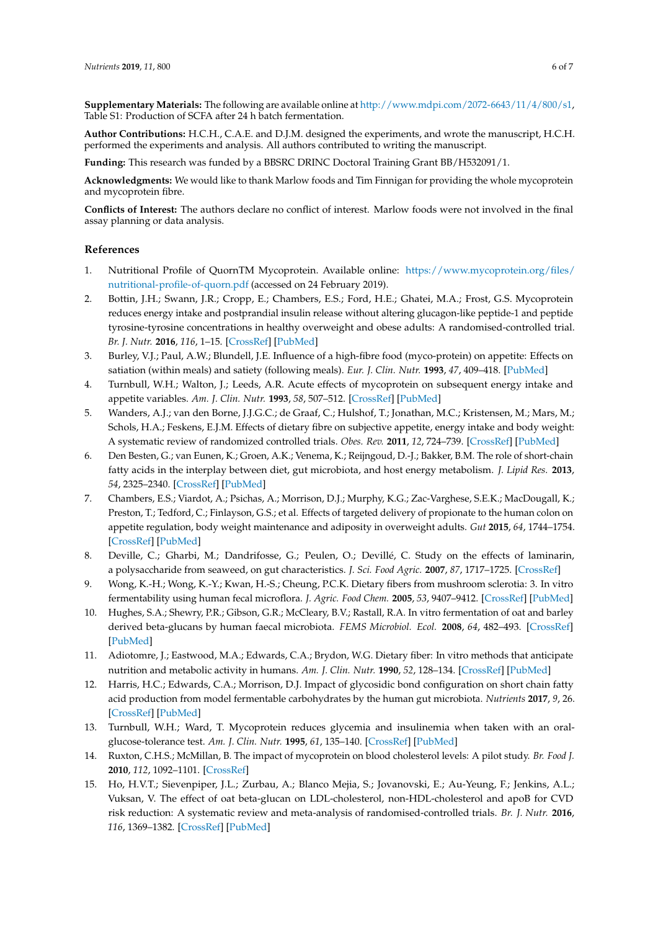**Supplementary Materials:** The following are available online at [http://www.mdpi.com/2072-6643/11/4/800/s1,](http://www.mdpi.com/2072-6643/11/4/800/s1) Table S1: Production of SCFA after 24 h batch fermentation.

**Author Contributions:** H.C.H., C.A.E. and D.J.M. designed the experiments, and wrote the manuscript, H.C.H. performed the experiments and analysis. All authors contributed to writing the manuscript.

**Funding:** This research was funded by a BBSRC DRINC Doctoral Training Grant BB/H532091/1.

**Acknowledgments:** We would like to thank Marlow foods and Tim Finnigan for providing the whole mycoprotein and mycoprotein fibre.

**Conflicts of Interest:** The authors declare no conflict of interest. Marlow foods were not involved in the final assay planning or data analysis.

#### **References**

- <span id="page-5-0"></span>1. Nutritional Profile of QuornTM Mycoprotein. Available online: [https://www.mycoprotein.org/files/](https://www.mycoprotein.org/files/nutritional-profile-of-quorn.pdf) [nutritional-profile-of-quorn.pdf](https://www.mycoprotein.org/files/nutritional-profile-of-quorn.pdf) (accessed on 24 February 2019).
- <span id="page-5-1"></span>2. Bottin, J.H.; Swann, J.R.; Cropp, E.; Chambers, E.S.; Ford, H.E.; Ghatei, M.A.; Frost, G.S. Mycoprotein reduces energy intake and postprandial insulin release without altering glucagon-like peptide-1 and peptide tyrosine-tyrosine concentrations in healthy overweight and obese adults: A randomised-controlled trial. *Br. J. Nutr.* **2016**, *116*, 1–15. [\[CrossRef\]](http://dx.doi.org/10.1017/S0007114516001872) [\[PubMed\]](http://www.ncbi.nlm.nih.gov/pubmed/27198187)
- 3. Burley, V.J.; Paul, A.W.; Blundell, J.E. Influence of a high-fibre food (myco-protein) on appetite: Effects on satiation (within meals) and satiety (following meals). *Eur. J. Clin. Nutr.* **1993**, *47*, 409–418. [\[PubMed\]](http://www.ncbi.nlm.nih.gov/pubmed/8396025)
- <span id="page-5-2"></span>4. Turnbull, W.H.; Walton, J.; Leeds, A.R. Acute effects of mycoprotein on subsequent energy intake and appetite variables. *Am. J. Clin. Nutr.* **1993**, *58*, 507–512. [\[CrossRef\]](http://dx.doi.org/10.1093/ajcn/58.4.507) [\[PubMed\]](http://www.ncbi.nlm.nih.gov/pubmed/8257542)
- <span id="page-5-3"></span>5. Wanders, A.J.; van den Borne, J.J.G.C.; de Graaf, C.; Hulshof, T.; Jonathan, M.C.; Kristensen, M.; Mars, M.; Schols, H.A.; Feskens, E.J.M. Effects of dietary fibre on subjective appetite, energy intake and body weight: A systematic review of randomized controlled trials. *Obes. Rev.* **2011**, *12*, 724–739. [\[CrossRef\]](http://dx.doi.org/10.1111/j.1467-789X.2011.00895.x) [\[PubMed\]](http://www.ncbi.nlm.nih.gov/pubmed/21676152)
- <span id="page-5-4"></span>6. Den Besten, G.; van Eunen, K.; Groen, A.K.; Venema, K.; Reijngoud, D.-J.; Bakker, B.M. The role of short-chain fatty acids in the interplay between diet, gut microbiota, and host energy metabolism. *J. Lipid Res.* **2013**, *54*, 2325–2340. [\[CrossRef\]](http://dx.doi.org/10.1194/jlr.R036012) [\[PubMed\]](http://www.ncbi.nlm.nih.gov/pubmed/23821742)
- <span id="page-5-5"></span>7. Chambers, E.S.; Viardot, A.; Psichas, A.; Morrison, D.J.; Murphy, K.G.; Zac-Varghese, S.E.K.; MacDougall, K.; Preston, T.; Tedford, C.; Finlayson, G.S.; et al. Effects of targeted delivery of propionate to the human colon on appetite regulation, body weight maintenance and adiposity in overweight adults. *Gut* **2015**, *64*, 1744–1754. [\[CrossRef\]](http://dx.doi.org/10.1136/gutjnl-2014-307913) [\[PubMed\]](http://www.ncbi.nlm.nih.gov/pubmed/25500202)
- <span id="page-5-6"></span>8. Deville, C.; Gharbi, M.; Dandrifosse, G.; Peulen, O.; Devillé, C. Study on the effects of laminarin, a polysaccharide from seaweed, on gut characteristics. *J. Sci. Food Agric.* **2007**, *87*, 1717–1725. [\[CrossRef\]](http://dx.doi.org/10.1002/jsfa.2901)
- <span id="page-5-7"></span>9. Wong, K.-H.; Wong, K.-Y.; Kwan, H.-S.; Cheung, P.C.K. Dietary fibers from mushroom sclerotia: 3. In vitro fermentability using human fecal microflora. *J. Agric. Food Chem.* **2005**, *53*, 9407–9412. [\[CrossRef\]](http://dx.doi.org/10.1021/jf051080z) [\[PubMed\]](http://www.ncbi.nlm.nih.gov/pubmed/16302755)
- <span id="page-5-8"></span>10. Hughes, S.A.; Shewry, P.R.; Gibson, G.R.; McCleary, B.V.; Rastall, R.A. In vitro fermentation of oat and barley derived beta-glucans by human faecal microbiota. *FEMS Microbiol. Ecol.* **2008**, *64*, 482–493. [\[CrossRef\]](http://dx.doi.org/10.1111/j.1574-6941.2008.00478.x) [\[PubMed\]](http://www.ncbi.nlm.nih.gov/pubmed/18430007)
- <span id="page-5-9"></span>11. Adiotomre, J.; Eastwood, M.A.; Edwards, C.A.; Brydon, W.G. Dietary fiber: In vitro methods that anticipate nutrition and metabolic activity in humans. *Am. J. Clin. Nutr.* **1990**, *52*, 128–134. [\[CrossRef\]](http://dx.doi.org/10.1093/ajcn/52.1.128) [\[PubMed\]](http://www.ncbi.nlm.nih.gov/pubmed/2163190)
- <span id="page-5-10"></span>12. Harris, H.C.; Edwards, C.A.; Morrison, D.J. Impact of glycosidic bond configuration on short chain fatty acid production from model fermentable carbohydrates by the human gut microbiota. *Nutrients* **2017**, *9*, 26. [\[CrossRef\]](http://dx.doi.org/10.3390/nu9010026) [\[PubMed\]](http://www.ncbi.nlm.nih.gov/pubmed/28045429)
- <span id="page-5-11"></span>13. Turnbull, W.H.; Ward, T. Mycoprotein reduces glycemia and insulinemia when taken with an oralglucose-tolerance test. *Am. J. Clin. Nutr.* **1995**, *61*, 135–140. [\[CrossRef\]](http://dx.doi.org/10.1093/ajcn/61.1.135) [\[PubMed\]](http://www.ncbi.nlm.nih.gov/pubmed/7825525)
- <span id="page-5-12"></span>14. Ruxton, C.H.S.; McMillan, B. The impact of mycoprotein on blood cholesterol levels: A pilot study. *Br. Food J.* **2010**, *112*, 1092–1101. [\[CrossRef\]](http://dx.doi.org/10.1108/00070701011080221)
- <span id="page-5-13"></span>15. Ho, H.V.T.; Sievenpiper, J.L.; Zurbau, A.; Blanco Mejia, S.; Jovanovski, E.; Au-Yeung, F.; Jenkins, A.L.; Vuksan, V. The effect of oat beta-glucan on LDL-cholesterol, non-HDL-cholesterol and apoB for CVD risk reduction: A systematic review and meta-analysis of randomised-controlled trials. *Br. J. Nutr.* **2016**, *116*, 1369–1382. [\[CrossRef\]](http://dx.doi.org/10.1017/S000711451600341X) [\[PubMed\]](http://www.ncbi.nlm.nih.gov/pubmed/27724985)